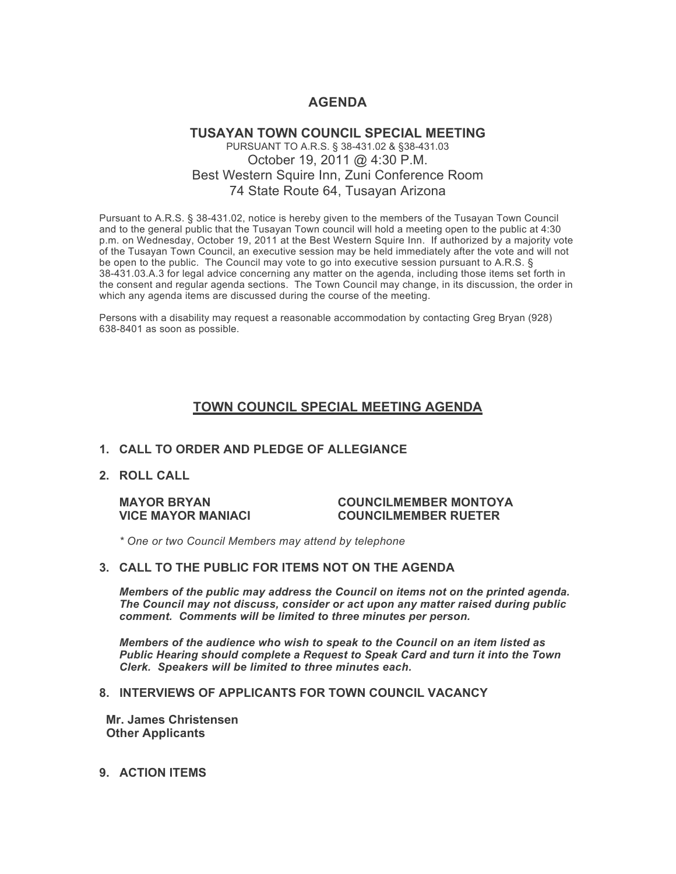# **AGENDA**

# **TUSAYAN TOWN COUNCIL SPECIAL MEETING** PURSUANT TO A.R.S. § 38-431.02 & §38-431.03 October 19, 2011 @ 4:30 P.M. Best Western Squire Inn, Zuni Conference Room 74 State Route 64, Tusayan Arizona

Pursuant to A.R.S. § 38-431.02, notice is hereby given to the members of the Tusayan Town Council and to the general public that the Tusayan Town council will hold a meeting open to the public at 4:30 p.m. on Wednesday, October 19, 2011 at the Best Western Squire Inn. If authorized by a majority vote of the Tusayan Town Council, an executive session may be held immediately after the vote and will not be open to the public. The Council may vote to go into executive session pursuant to A.R.S. § 38-431.03.A.3 for legal advice concerning any matter on the agenda, including those items set forth in the consent and regular agenda sections. The Town Council may change, in its discussion, the order in which any agenda items are discussed during the course of the meeting.

Persons with a disability may request a reasonable accommodation by contacting Greg Bryan (928) 638-8401 as soon as possible.

# **TOWN COUNCIL SPECIAL MEETING AGENDA**

# **1. CALL TO ORDER AND PLEDGE OF ALLEGIANCE**

**2. ROLL CALL**

#### **MAYOR BRYAN COUNCILMEMBER MONTOYA VICE MAYOR MANIACI COUNCILMEMBER RUETER**

*\* One or two Council Members may attend by telephone*

#### **3. CALL TO THE PUBLIC FOR ITEMS NOT ON THE AGENDA**

*Members of the public may address the Council* **o***n items not on the printed agenda. The Council may not discuss, consider or act upon any matter raised during public comment. Comments will be limited to three minutes per person.*

*Members of the audience who wish to speak to the Council on an item listed as Public Hearing should complete a Request to Speak Card and turn it into the Town Clerk. Speakers will be limited to three minutes each.*

## **8. INTERVIEWS OF APPLICANTS FOR TOWN COUNCIL VACANCY**

 **Mr. James Christensen Other Applicants**

**9. ACTION ITEMS**